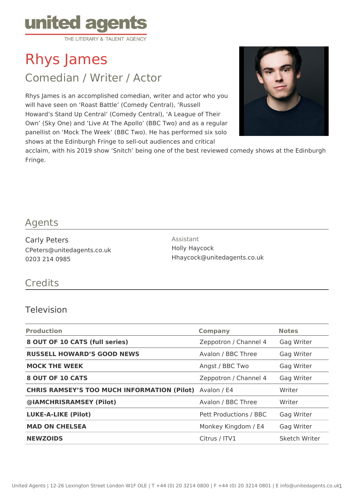

Rhys James

Comedian / Writer / Actor

Rhys James is an accomplished comedian, writer and actor who you will have seen on 'Roast Battle' (Comedy Central), 'Russell Howard's Stand Up Central' (Comedy Central), 'A League of Their Own' (Sky One) and 'Live At The Apollo' (BBC Two) and as a regular panellist on 'Mock The Week' (BBC Two). He has performed six solo shows at the Edinburgh Fringe to sell-out audiences and critical



acclaim, with his 2019 show 'Snitch' being one of the best reviewed comedy shows at the Edinburgh Fringe.

### Agents

Carly Peters CPeters@unitedagents.co.uk 0203 214 0985

Assistant Holly Haycock Hhaycock@unitedagents.co.uk

## **Credits**

#### Television

| <b>Production</b>                                  | <b>Company</b>         | <b>Notes</b>  |
|----------------------------------------------------|------------------------|---------------|
| 8 OUT OF 10 CATS (full series)                     | Zeppotron / Channel 4  | Gag Writer    |
| <b>RUSSELL HOWARD'S GOOD NEWS</b>                  | Avalon / BBC Three     | Gag Writer    |
| <b>MOCK THE WEEK</b>                               | Angst / BBC Two        | Gag Writer    |
| 8 OUT OF 10 CATS                                   | Zeppotron / Channel 4  | Gag Writer    |
| <b>CHRIS RAMSEY'S TOO MUCH INFORMATION (Pilot)</b> | Avalon / E4            | Writer        |
| @IAMCHRISRAMSEY (Pilot)                            | Avalon / BBC Three     | Writer        |
| <b>LUKE-A-LIKE (Pilot)</b>                         | Pett Productions / BBC | Gag Writer    |
| <b>MAD ON CHELSEA</b>                              | Monkey Kingdom / E4    | Gag Writer    |
| <b>NEWZOIDS</b>                                    | Citrus / ITV1          | Sketch Writer |